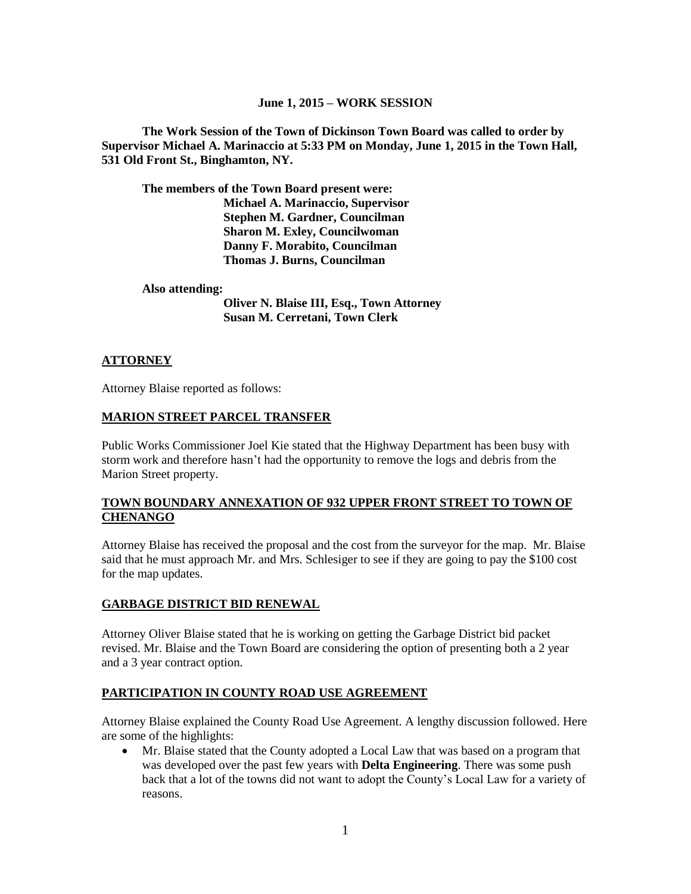#### **June 1, 2015 – WORK SESSION**

**The Work Session of the Town of Dickinson Town Board was called to order by Supervisor Michael A. Marinaccio at 5:33 PM on Monday, June 1, 2015 in the Town Hall, 531 Old Front St., Binghamton, NY.**

**The members of the Town Board present were: Michael A. Marinaccio, Supervisor Stephen M. Gardner, Councilman Sharon M. Exley, Councilwoman Danny F. Morabito, Councilman Thomas J. Burns, Councilman**

**Also attending:**

**Oliver N. Blaise III, Esq., Town Attorney Susan M. Cerretani, Town Clerk**

## **ATTORNEY**

Attorney Blaise reported as follows:

#### **MARION STREET PARCEL TRANSFER**

Public Works Commissioner Joel Kie stated that the Highway Department has been busy with storm work and therefore hasn't had the opportunity to remove the logs and debris from the Marion Street property.

## **TOWN BOUNDARY ANNEXATION OF 932 UPPER FRONT STREET TO TOWN OF CHENANGO**

Attorney Blaise has received the proposal and the cost from the surveyor for the map. Mr. Blaise said that he must approach Mr. and Mrs. Schlesiger to see if they are going to pay the \$100 cost for the map updates.

#### **GARBAGE DISTRICT BID RENEWAL**

Attorney Oliver Blaise stated that he is working on getting the Garbage District bid packet revised. Mr. Blaise and the Town Board are considering the option of presenting both a 2 year and a 3 year contract option.

# **PARTICIPATION IN COUNTY ROAD USE AGREEMENT**

Attorney Blaise explained the County Road Use Agreement. A lengthy discussion followed. Here are some of the highlights:

 Mr. Blaise stated that the County adopted a Local Law that was based on a program that was developed over the past few years with **Delta Engineering**. There was some push back that a lot of the towns did not want to adopt the County's Local Law for a variety of reasons.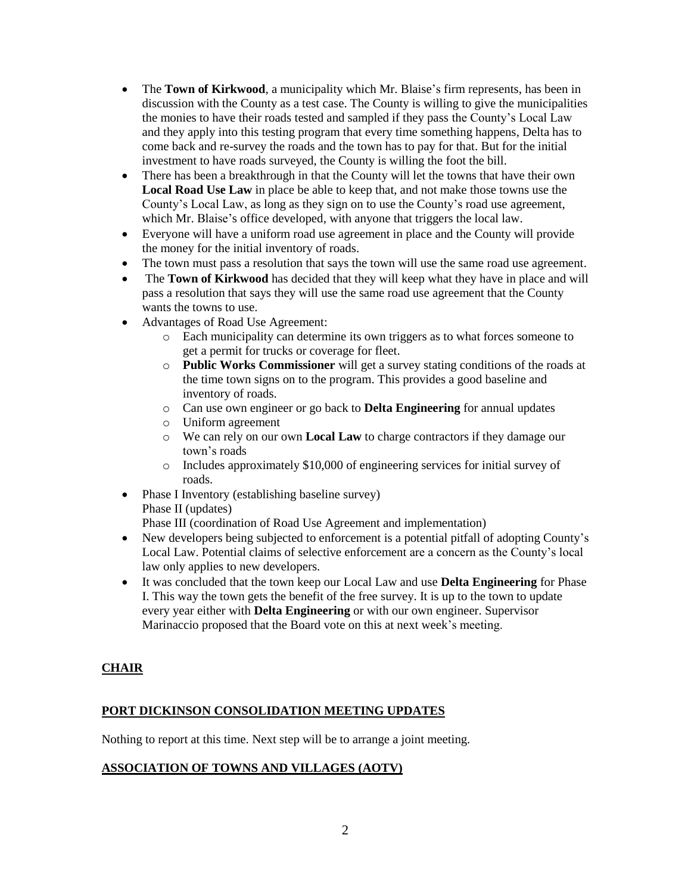- The **Town of Kirkwood**, a municipality which Mr. Blaise's firm represents, has been in discussion with the County as a test case. The County is willing to give the municipalities the monies to have their roads tested and sampled if they pass the County's Local Law and they apply into this testing program that every time something happens, Delta has to come back and re-survey the roads and the town has to pay for that. But for the initial investment to have roads surveyed, the County is willing the foot the bill.
- There has been a breakthrough in that the County will let the towns that have their own **Local Road Use Law** in place be able to keep that, and not make those towns use the County's Local Law, as long as they sign on to use the County's road use agreement, which Mr. Blaise's office developed, with anyone that triggers the local law.
- Everyone will have a uniform road use agreement in place and the County will provide the money for the initial inventory of roads.
- The town must pass a resolution that says the town will use the same road use agreement.
- The **Town of Kirkwood** has decided that they will keep what they have in place and will pass a resolution that says they will use the same road use agreement that the County wants the towns to use.
- Advantages of Road Use Agreement:
	- o Each municipality can determine its own triggers as to what forces someone to get a permit for trucks or coverage for fleet.
	- o **Public Works Commissioner** will get a survey stating conditions of the roads at the time town signs on to the program. This provides a good baseline and inventory of roads.
	- o Can use own engineer or go back to **Delta Engineering** for annual updates
	- o Uniform agreement
	- o We can rely on our own **Local Law** to charge contractors if they damage our town's roads
	- o Includes approximately \$10,000 of engineering services for initial survey of roads.
- Phase I Inventory (establishing baseline survey) Phase II (updates)

Phase III (coordination of Road Use Agreement and implementation)

- New developers being subjected to enforcement is a potential pitfall of adopting County's Local Law. Potential claims of selective enforcement are a concern as the County's local law only applies to new developers.
- It was concluded that the town keep our Local Law and use **Delta Engineering** for Phase I. This way the town gets the benefit of the free survey. It is up to the town to update every year either with **Delta Engineering** or with our own engineer. Supervisor Marinaccio proposed that the Board vote on this at next week's meeting.

# **CHAIR**

# **PORT DICKINSON CONSOLIDATION MEETING UPDATES**

Nothing to report at this time. Next step will be to arrange a joint meeting.

# **ASSOCIATION OF TOWNS AND VILLAGES (AOTV)**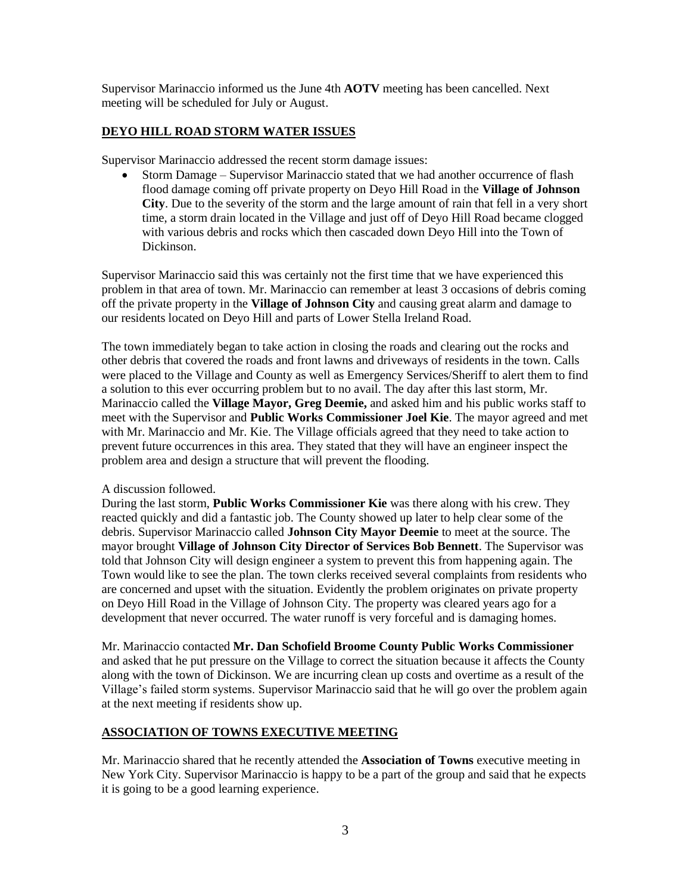Supervisor Marinaccio informed us the June 4th **AOTV** meeting has been cancelled. Next meeting will be scheduled for July or August.

# **DEYO HILL ROAD STORM WATER ISSUES**

Supervisor Marinaccio addressed the recent storm damage issues:

 Storm Damage – Supervisor Marinaccio stated that we had another occurrence of flash flood damage coming off private property on Deyo Hill Road in the **Village of Johnson City**. Due to the severity of the storm and the large amount of rain that fell in a very short time, a storm drain located in the Village and just off of Deyo Hill Road became clogged with various debris and rocks which then cascaded down Deyo Hill into the Town of Dickinson.

Supervisor Marinaccio said this was certainly not the first time that we have experienced this problem in that area of town. Mr. Marinaccio can remember at least 3 occasions of debris coming off the private property in the **Village of Johnson City** and causing great alarm and damage to our residents located on Deyo Hill and parts of Lower Stella Ireland Road.

The town immediately began to take action in closing the roads and clearing out the rocks and other debris that covered the roads and front lawns and driveways of residents in the town. Calls were placed to the Village and County as well as Emergency Services/Sheriff to alert them to find a solution to this ever occurring problem but to no avail. The day after this last storm, Mr. Marinaccio called the **Village Mayor, Greg Deemie,** and asked him and his public works staff to meet with the Supervisor and **Public Works Commissioner Joel Kie**. The mayor agreed and met with Mr. Marinaccio and Mr. Kie. The Village officials agreed that they need to take action to prevent future occurrences in this area. They stated that they will have an engineer inspect the problem area and design a structure that will prevent the flooding.

#### A discussion followed.

During the last storm, **Public Works Commissioner Kie** was there along with his crew. They reacted quickly and did a fantastic job. The County showed up later to help clear some of the debris. Supervisor Marinaccio called **Johnson City Mayor Deemie** to meet at the source. The mayor brought **Village of Johnson City Director of Services Bob Bennett**. The Supervisor was told that Johnson City will design engineer a system to prevent this from happening again. The Town would like to see the plan. The town clerks received several complaints from residents who are concerned and upset with the situation. Evidently the problem originates on private property on Deyo Hill Road in the Village of Johnson City. The property was cleared years ago for a development that never occurred. The water runoff is very forceful and is damaging homes.

Mr. Marinaccio contacted **Mr. Dan Schofield Broome County Public Works Commissioner** and asked that he put pressure on the Village to correct the situation because it affects the County along with the town of Dickinson. We are incurring clean up costs and overtime as a result of the Village's failed storm systems. Supervisor Marinaccio said that he will go over the problem again at the next meeting if residents show up.

# **ASSOCIATION OF TOWNS EXECUTIVE MEETING**

Mr. Marinaccio shared that he recently attended the **Association of Towns** executive meeting in New York City. Supervisor Marinaccio is happy to be a part of the group and said that he expects it is going to be a good learning experience.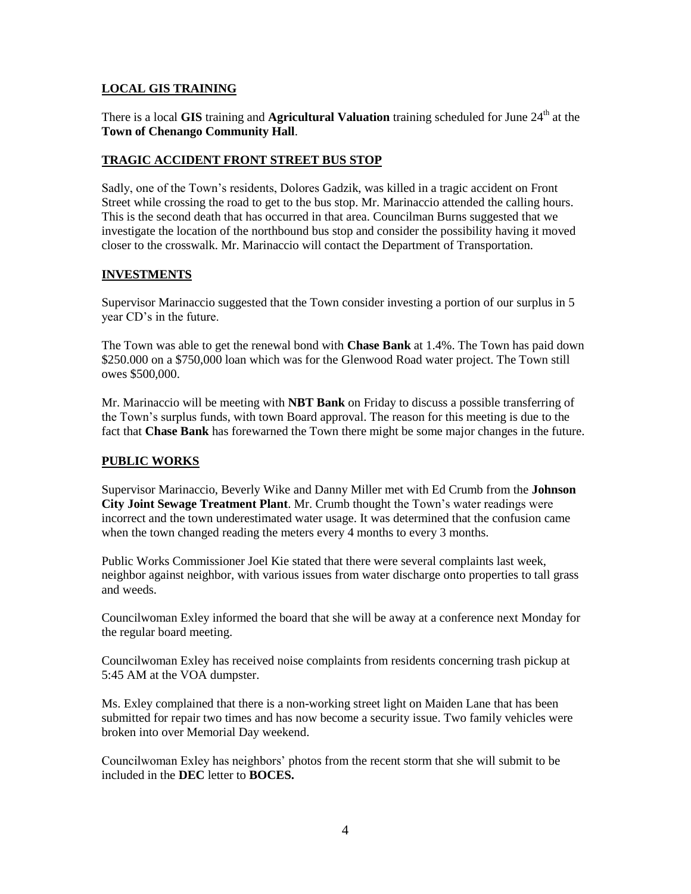#### **LOCAL GIS TRAINING**

There is a local **GIS** training and **Agricultural Valuation** training scheduled for June 24<sup>th</sup> at the **Town of Chenango Community Hall**.

## **TRAGIC ACCIDENT FRONT STREET BUS STOP**

Sadly, one of the Town's residents, Dolores Gadzik, was killed in a tragic accident on Front Street while crossing the road to get to the bus stop. Mr. Marinaccio attended the calling hours. This is the second death that has occurred in that area. Councilman Burns suggested that we investigate the location of the northbound bus stop and consider the possibility having it moved closer to the crosswalk. Mr. Marinaccio will contact the Department of Transportation.

## **INVESTMENTS**

Supervisor Marinaccio suggested that the Town consider investing a portion of our surplus in 5 year CD's in the future.

The Town was able to get the renewal bond with **Chase Bank** at 1.4%. The Town has paid down \$250.000 on a \$750,000 loan which was for the Glenwood Road water project. The Town still owes \$500,000.

Mr. Marinaccio will be meeting with **NBT Bank** on Friday to discuss a possible transferring of the Town's surplus funds, with town Board approval. The reason for this meeting is due to the fact that **Chase Bank** has forewarned the Town there might be some major changes in the future.

# **PUBLIC WORKS**

Supervisor Marinaccio, Beverly Wike and Danny Miller met with Ed Crumb from the **Johnson City Joint Sewage Treatment Plant**. Mr. Crumb thought the Town's water readings were incorrect and the town underestimated water usage. It was determined that the confusion came when the town changed reading the meters every 4 months to every 3 months.

Public Works Commissioner Joel Kie stated that there were several complaints last week, neighbor against neighbor, with various issues from water discharge onto properties to tall grass and weeds.

Councilwoman Exley informed the board that she will be away at a conference next Monday for the regular board meeting.

Councilwoman Exley has received noise complaints from residents concerning trash pickup at 5:45 AM at the VOA dumpster.

Ms. Exley complained that there is a non-working street light on Maiden Lane that has been submitted for repair two times and has now become a security issue. Two family vehicles were broken into over Memorial Day weekend.

Councilwoman Exley has neighbors' photos from the recent storm that she will submit to be included in the **DEC** letter to **BOCES.**